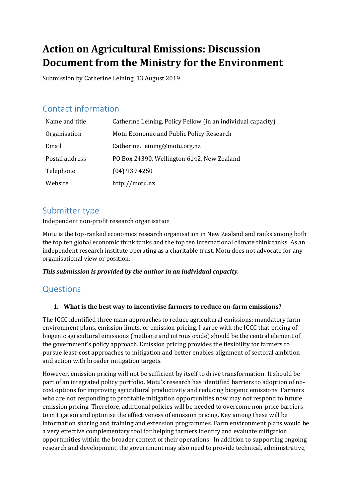# **Action on Agricultural Emissions: Discussion Document from the Ministry for the Environment**

Submission by Catherine Leining, 13 August 2019

## Contact information

| Name and title | Catherine Leining, Policy Fellow (in an individual capacity) |
|----------------|--------------------------------------------------------------|
| Organisation   | Motu Economic and Public Policy Research                     |
| Email          | Catherine.Leining@motu.org.nz                                |
| Postal address | PO Box 24390, Wellington 6142, New Zealand                   |
| Telephone      | $(04)$ 939 4250                                              |
| Website        | http://motu.nz                                               |

### Submitter type

Independent non-profit research organisation

Motu is the top-ranked economics research organisation in New Zealand and ranks among both the top ten global economic think tanks and the top ten international climate think tanks. As an independent research institute operating as a charitable trust, Motu does not advocate for any organisational view or position.

#### *This submission is provided by the author in an individual capacity.*

### Questions

#### **1. What is the best way to incentivise farmers to reduce on-farm emissions?**

The ICCC identified three main approaches to reduce agricultural emissions: mandatory farm environment plans, emission limits, or emission pricing. I agree with the ICCC that pricing of biogenic agricultural emissions (methane and nitrous oxide) should be the central element of the government's policy approach. Emission pricing provides the flexibility for farmers to pursue least-cost approaches to mitigation and better enables alignment of sectoral ambition and action with broader mitigation targets.

However, emission pricing will not be sufficient by itself to drive transformation. It should be part of an integrated policy portfolio. Motu's research has identified barriers to adoption of nocost options for improving agricultural productivity and reducing biogenic emissions. Farmers who are not responding to profitable mitigation opportunities now may not respond to future emission pricing. Therefore, additional policies will be needed to overcome non-price barriers to mitigation and optimise the effectiveness of emission pricing. Key among these will be information sharing and training and extension programmes. Farm environment plans would be a very effective complementary tool for helping farmers identify and evaluate mitigation opportunities within the broader context of their operations. In addition to supporting ongoing research and development, the government may also need to provide technical, administrative,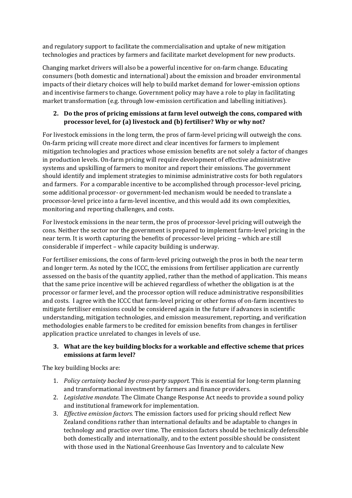and regulatory support to facilitate the commercialisation and uptake of new mitigation technologies and practices by farmers and facilitate market development for new products.

Changing market drivers will also be a powerful incentive for on-farm change. Educating consumers (both domestic and international) about the emission and broader environmental impacts of their dietary choices will help to build market demand for lower-emission options and incentivise farmers to change. Government policy may have a role to play in facilitating market transformation (e.g. through low-emission certification and labelling initiatives).

#### **2. Do the pros of pricing emissions at farm level outweigh the cons, compared with processor level, for (a) livestock and (b) fertiliser? Why or why not?**

For livestock emissions in the long term, the pros of farm-level pricing will outweigh the cons. On-farm pricing will create more direct and clear incentives for farmers to implement mitigation technologies and practices whose emission benefits are not solely a factor of changes in production levels. On-farm pricing will require development of effective administrative systems and upskilling of farmers to monitor and report their emissions. The government should identify and implement strategies to minimise administrative costs for both regulators and farmers. For a comparable incentive to be accomplished through processor-level pricing, some additional processor- or government-led mechanism would be needed to translate a processor-level price into a farm-level incentive, and this would add its own complexities, monitoring and reporting challenges, and costs.

For livestock emissions in the near term, the pros of processor-level pricing will outweigh the cons. Neither the sector nor the government is prepared to implement farm-level pricing in the near term. It is worth capturing the benefits of processor-level pricing – which are still considerable if imperfect – while capacity building is underway.

For fertiliser emissions, the cons of farm-level pricing outweigh the pros in both the near term and longer term. As noted by the ICCC, the emissions from fertiliser application are currently assessed on the basis of the quantity applied, rather than the method of application. This means that the same price incentive will be achieved regardless of whether the obligation is at the processor or farmer level, and the processor option will reduce administrative responsibilities and costs. I agree with the ICCC that farm-level pricing or other forms of on-farm incentives to mitigate fertiliser emissions could be considered again in the future if advances in scientific understanding, mitigation technologies, and emission measurement, reporting, and verification methodologies enable farmers to be credited for emission benefits from changes in fertiliser application practice unrelated to changes in levels of use.

#### **3. What are the key building blocks for a workable and effective scheme that prices emissions at farm level?**

The key building blocks are:

- 1. *Policy certainty backed by cross-party support.* This is essential for long-term planning and transformational investment by farmers and finance providers.
- 2. *Legislative mandate.* The Climate Change Response Act needs to provide a sound policy and institutional framework for implementation.
- 3. *Effective emission factors.* The emission factors used for pricing should reflect New Zealand conditions rather than international defaults and be adaptable to changes in technology and practice over time. The emission factors should be technically defensible both domestically and internationally, and to the extent possible should be consistent with those used in the National Greenhouse Gas Inventory and to calculate New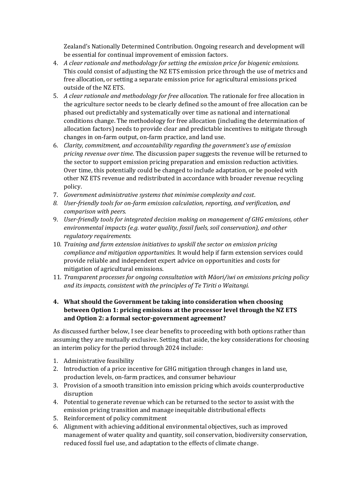Zealand's Nationally Determined Contribution. Ongoing research and development will be essential for continual improvement of emission factors.

- 4. *A clear rationale and methodology for setting the emission price for biogenic emissions.* This could consist of adjusting the NZ ETS emission price through the use of metrics and free allocation, or setting a separate emission price for agricultural emissions priced outside of the NZ ETS.
- 5. *A clear rationale and methodology for free allocation.* The rationale for free allocation in the agriculture sector needs to be clearly defined so the amount of free allocation can be phased out predictably and systematically over time as national and international conditions change. The methodology for free allocation (including the determination of allocation factors) needs to provide clear and predictable incentives to mitigate through changes in on-farm output, on-farm practice, and land use.
- 6. *Clarity, commitment, and accountability regarding the government's use of emission pricing revenue over time*. The discussion paper suggests the revenue will be returned to the sector to support emission pricing preparation and emission reduction activities. Over time, this potentially could be changed to include adaptation, or be pooled with other NZ ETS revenue and redistributed in accordance with broader revenue recycling policy.
- 7. *Government administrative systems that minimise complexity and cost*.
- *8. User-friendly tools for on-farm emission calculation, reporting, and verificatio*n*, and comparison with peers.*
- 9. *User-friendly tools for integrated decision making on management of GHG emissions, other environmental impacts (e.g. water quality, fossil fuels, soil conservation), and other regulatory requirements.*
- 10. *Training and farm extension initiatives to upskill the sector on emission pricing compliance and mitigation opportunities.* It would help if farm extension services could provide reliable and independent expert advice on opportunities and costs for mitigation of agricultural emissions.
- 11. *Transparent processes for ongoing consultation with Māori/iwi on emissions pricing policy and its impacts, consistent with the principles of Te Tiriti o Waitangi.*

#### **4. What should the Government be taking into consideration when choosing between Option 1: pricing emissions at the processor level through the NZ ETS and Option 2: a formal sector-government agreement?**

As discussed further below, I see clear benefits to proceeding with both options rather than assuming they are mutually exclusive. Setting that aside, the key considerations for choosing an interim policy for the period through 2024 include:

- 1. Administrative feasibility
- 2. Introduction of a price incentive for GHG mitigation through changes in land use, production levels, on-farm practices, and consumer behaviour
- 3. Provision of a smooth transition into emission pricing which avoids counterproductive disruption
- 4. Potential to generate revenue which can be returned to the sector to assist with the emission pricing transition and manage inequitable distributional effects
- 5. Reinforcement of policy commitment
- 6. Alignment with achieving additional environmental objectives, such as improved management of water quality and quantity, soil conservation, biodiversity conservation, reduced fossil fuel use, and adaptation to the effects of climate change.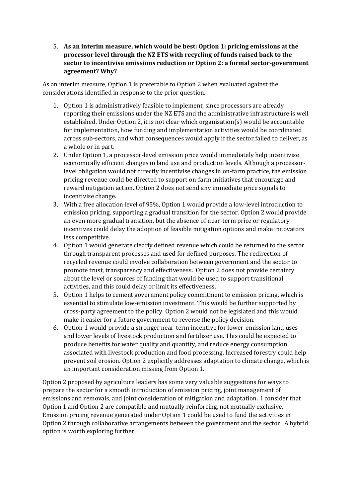5. **As an interim measure, which would be best: Option 1: pricing emissions at the processor level through the NZ ETS with recycling of funds raised back to the sector to incentivise emissions reduction or Option 2: a formal sector-government agreement? Why?**

As an interim measure, Option 1 is preferable to Option 2 when evaluated against the considerations identified in response to the prior question.

- 1. Option 1 is administratively feasible to implement, since processors are already reporting their emissions under the NZ ETS and the administrative infrastructure is well established. Under Option 2, it is not clear which organisation(s) would be accountable for implementation, how funding and implementation activities would be coordinated across sub-sectors, and what consequences would apply if the sector failed to deliver, as a whole or in part.
- 2. Under Option 1, a processor-level emission price would immediately help incentivise economically efficient changes in land use and production levels. Although a processorlevel obligation would not directly incentivise changes in on-farm practice, the emission pricing revenue could be directed to support on-farm initiatives that encourage and reward mitigation action. Option 2 does not send any immediate price signals to incentivise change.
- 3. With a free allocation level of 95%, Option 1 would provide a low-level introduction to emission pricing, supporting a gradual transition for the sector. Option 2 would provide an even more gradual transition, but the absence of near-term price or regulatory incentives could delay the adoption of feasible mitigation options and make innovators less competitive.
- 4. Option 1 would generate clearly defined revenue which could be returned to the sector through transparent processes and used for defined purposes. The redirection of recycled revenue could involve collaboration between government and the sector to promote trust, transparency and effectiveness. Option 2 does not provide certainty about the level or sources of funding that would be used to support transitional activities, and this could delay or limit its effectiveness.
- 5. Option 1 helps to cement government policy commitment to emission pricing, which is essential to stimulate low-emission investment. This would be further supported by cross-party agreement to the policy. Option 2 would not be legislated and this would make it easier for a future government to reverse the policy decision.
- 6. Option 1 would provide a stronger near-term incentive for lower-emission land uses and lower levels of livestock production and fertiliser use. This could be expected to produce benefits for water quality and quantity, and reduce energy consumption associated with livestock production and food processing. Increased forestry could help prevent soil erosion. Option 2 explicitly addresses adaptation to climate change, which is an important consideration missing from Option 1.

Option 2 proposed by agriculture leaders has some very valuable suggestions for ways to prepare the sector for a smooth introduction of emission pricing, joint management of emissions and removals, and joint consideration of mitigation and adaptation. I consider that Option 1 and Option 2 are compatible and mutually reinforcing, not mutually exclusive. Emission pricing revenue generated under Option 1 could be used to fund the activities in Option 2 through collaborative arrangements between the government and the sector. A hybrid option is worth exploring further.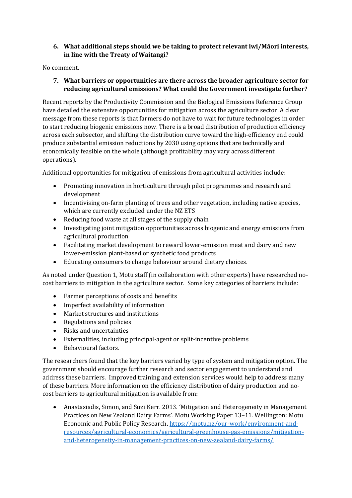#### **6. What additional steps should we be taking to protect relevant iwi/Māori interests, in line with the Treaty of Waitangi?**

No comment.

#### **7. What barriers or opportunities are there across the broader agriculture sector for reducing agricultural emissions? What could the Government investigate further?**

Recent reports by the Productivity Commission and the Biological Emissions Reference Group have detailed the extensive opportunities for mitigation across the agriculture sector. A clear message from these reports is that farmers do not have to wait for future technologies in order to start reducing biogenic emissions now. There is a broad distribution of production efficiency across each subsector, and shifting the distribution curve toward the high-efficiency end could produce substantial emission reductions by 2030 using options that are technically and economically feasible on the whole (although profitability may vary across different operations).

Additional opportunities for mitigation of emissions from agricultural activities include:

- Promoting innovation in horticulture through pilot programmes and research and development
- Incentivising on-farm planting of trees and other vegetation, including native species, which are currently excluded under the NZ ETS
- Reducing food waste at all stages of the supply chain
- Investigating joint mitigation opportunities across biogenic and energy emissions from agricultural production
- Facilitating market development to reward lower-emission meat and dairy and new lower-emission plant-based or synthetic food products
- Educating consumers to change behaviour around dietary choices.

As noted under Question 1, Motu staff (in collaboration with other experts) have researched nocost barriers to mitigation in the agriculture sector. Some key categories of barriers include:

- Farmer perceptions of costs and benefits
- Imperfect availability of information
- Market structures and institutions
- Regulations and policies
- Risks and uncertainties
- Externalities, including principal-agent or split-incentive problems
- Behavioural factors.

The researchers found that the key barriers varied by type of system and mitigation option. The government should encourage further research and sector engagement to understand and address these barriers. Improved training and extension services would help to address many of these barriers. More information on the efficiency distribution of dairy production and nocost barriers to agricultural mitigation is available from:

 Anastasiadis, Simon, and Suzi Kerr. 2013. 'Mitigation and Heterogeneity in Management Practices on New Zealand Dairy Farms'. Motu Working Paper 13–11. Wellington: Motu Economic and Public Policy Research. [https://motu.nz/our-work/environment-and](https://motu.nz/our-work/environment-and-resources/agricultural-economics/agricultural-greenhouse-gas-emissions/mitigation-and-heterogeneity-in-management-practices-on-new-zealand-dairy-farms/)[resources/agricultural-economics/agricultural-greenhouse-gas-emissions/mitigation](https://motu.nz/our-work/environment-and-resources/agricultural-economics/agricultural-greenhouse-gas-emissions/mitigation-and-heterogeneity-in-management-practices-on-new-zealand-dairy-farms/)[and-heterogeneity-in-management-practices-on-new-zealand-dairy-farms/](https://motu.nz/our-work/environment-and-resources/agricultural-economics/agricultural-greenhouse-gas-emissions/mitigation-and-heterogeneity-in-management-practices-on-new-zealand-dairy-farms/)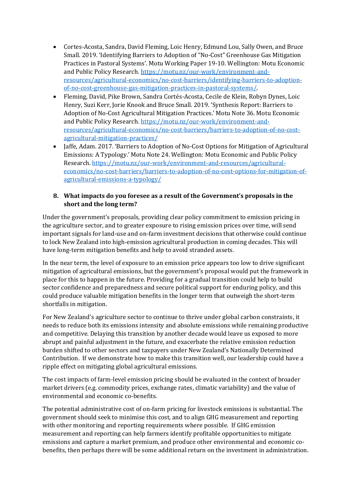- Cortes-Acosta, Sandra, David Fleming, Loic Henry, Edmund Lou, Sally Owen, and Bruce Small. 2019. 'Identifying Barriers to Adoption of "No-Cost" Greenhouse Gas Mitigation Practices in Pastoral Systems'. Motu Working Paper 19-10. Wellington: Motu Economic and Public Policy Research. [https://motu.nz/our-work/environment-and](https://motu.nz/our-work/environment-and-resources/agricultural-economics/no-cost-barriers/identifying-barriers-to-adoption-of-no-cost-greenhouse-gas-mitigation-practices-in-pastoral-systems/)[resources/agricultural-economics/no-cost-barriers/identifying-barriers-to-adoption](https://motu.nz/our-work/environment-and-resources/agricultural-economics/no-cost-barriers/identifying-barriers-to-adoption-of-no-cost-greenhouse-gas-mitigation-practices-in-pastoral-systems/)[of-no-cost-greenhouse-gas-mitigation-practices-in-pastoral-systems/.](https://motu.nz/our-work/environment-and-resources/agricultural-economics/no-cost-barriers/identifying-barriers-to-adoption-of-no-cost-greenhouse-gas-mitigation-practices-in-pastoral-systems/)
- Fleming, David, Pike Brown, Sandra Cortés-Acosta, Cecile de Klein, Robyn Dynes, Loic Henry, Suzi Kerr, Jorie Knook and Bruce Small. 2019. 'Synthesis Report: Barriers to Adoption of No-Cost Agricultural Mitigation Practices.' Motu Note 36. Motu Economic and Public Policy Research. [https://motu.nz/our-work/environment-and](https://motu.nz/our-work/environment-and-resources/agricultural-economics/no-cost-barriers/barriers-to-adoption-of-no-cost-agricultural-mitigation-practices/)[resources/agricultural-economics/no-cost-barriers/barriers-to-adoption-of-no-cost](https://motu.nz/our-work/environment-and-resources/agricultural-economics/no-cost-barriers/barriers-to-adoption-of-no-cost-agricultural-mitigation-practices/)[agricultural-mitigation-practices/](https://motu.nz/our-work/environment-and-resources/agricultural-economics/no-cost-barriers/barriers-to-adoption-of-no-cost-agricultural-mitigation-practices/)
- Iaffe, Adam. 2017. 'Barriers to Adoption of No-Cost Options for Mitigation of Agricultural Emissions: A Typology.' Motu Note 24. Wellington: Motu Economic and Public Policy Research. [https://motu.nz/our-work/environment-and-resources/agricultural](https://motu.nz/our-work/environment-and-resources/agricultural-economics/no-cost-barriers/barriers-to-adoption-of-no-cost-options-for-mitigation-of-agricultural-emissions-a-typology/)[economics/no-cost-barriers/barriers-to-adoption-of-no-cost-options-for-mitigation-of](https://motu.nz/our-work/environment-and-resources/agricultural-economics/no-cost-barriers/barriers-to-adoption-of-no-cost-options-for-mitigation-of-agricultural-emissions-a-typology/)[agricultural-emissions-a-typology/](https://motu.nz/our-work/environment-and-resources/agricultural-economics/no-cost-barriers/barriers-to-adoption-of-no-cost-options-for-mitigation-of-agricultural-emissions-a-typology/)

#### **8. What impacts do you foresee as a result of the Government's proposals in the short and the long term?**

Under the government's proposals, providing clear policy commitment to emission pricing in the agriculture sector, and to greater exposure to rising emission prices over time, will send important signals for land-use and on-farm investment decisions that otherwise could continue to lock New Zealand into high-emission agricultural production in coming decades. This will have long-term mitigation benefits and help to avoid stranded assets.

In the near term, the level of exposure to an emission price appears too low to drive significant mitigation of agricultural emissions, but the government's proposal would put the framework in place for this to happen in the future. Providing for a gradual transition could help to build sector confidence and preparedness and secure political support for enduring policy, and this could produce valuable mitigation benefits in the longer term that outweigh the short-term shortfalls in mitigation.

For New Zealand's agriculture sector to continue to thrive under global carbon constraints, it needs to reduce both its emissions intensity and absolute emissions while remaining productive and competitive. Delaying this transition by another decade would leave us exposed to more abrupt and painful adjustment in the future, and exacerbate the relative emission reduction burden shifted to other sectors and taxpayers under New Zealand's Nationally Determined Contribution. If we demonstrate how to make this transition well, our leadership could have a ripple effect on mitigating global agricultural emissions.

The cost impacts of farm-level emission pricing should be evaluated in the context of broader market drivers (e.g. commodity prices, exchange rates, climatic variability) and the value of environmental and economic co-benefits.

The potential administrative cost of on-farm pricing for livestock emissions is substantial. The government should seek to minimise this cost, and to align GHG measurement and reporting with other monitoring and reporting requirements where possible. If GHG emission measurement and reporting can help farmers identify profitable opportunities to mitigate emissions and capture a market premium, and produce other environmental and economic cobenefits, then perhaps there will be some additional return on the investment in administration.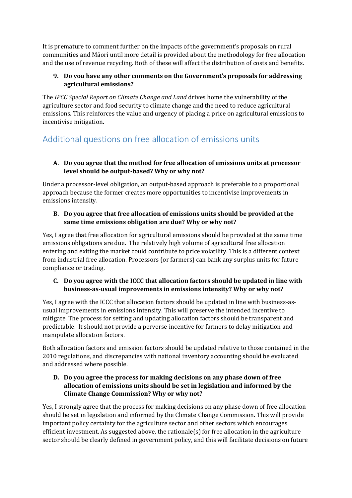It is premature to comment further on the impacts of the government's proposals on rural communities and Māori until more detail is provided about the methodology for free allocation and the use of revenue recycling. Both of these will affect the distribution of costs and benefits.

#### **9. Do you have any other comments on the Government's proposals for addressing agricultural emissions?**

The *IPCC Special Report on Climate Change and Land* drives home the vulnerability of the agriculture sector and food security to climate change and the need to reduce agricultural emissions. This reinforces the value and urgency of placing a price on agricultural emissions to incentivise mitigation.

# Additional questions on free allocation of emissions units

#### **A. Do you agree that the method for free allocation of emissions units at processor level should be output-based? Why or why not?**

Under a processor-level obligation, an output-based approach is preferable to a proportional approach because the former creates more opportunities to incentivise improvements in emissions intensity.

#### **B. Do you agree that free allocation of emissions units should be provided at the same time emissions obligation are due? Why or why not?**

Yes, I agree that free allocation for agricultural emissions should be provided at the same time emissions obligations are due. The relatively high volume of agricultural free allocation entering and exiting the market could contribute to price volatility. This is a different context from industrial free allocation. Processors (or farmers) can bank any surplus units for future compliance or trading.

#### **C. Do you agree with the ICCC that allocation factors should be updated in line with business-as-usual improvements in emissions intensity? Why or why not?**

Yes, I agree with the ICCC that allocation factors should be updated in line with business-asusual improvements in emissions intensity. This will preserve the intended incentive to mitigate. The process for setting and updating allocation factors should be transparent and predictable. It should not provide a perverse incentive for farmers to delay mitigation and manipulate allocation factors.

Both allocation factors and emission factors should be updated relative to those contained in the 2010 regulations, and discrepancies with national inventory accounting should be evaluated and addressed where possible.

#### **D. Do you agree the process for making decisions on any phase down of free allocation of emissions units should be set in legislation and informed by the Climate Change Commission? Why or why not?**

Yes, I strongly agree that the process for making decisions on any phase down of free allocation should be set in legislation and informed by the Climate Change Commission. This will provide important policy certainty for the agriculture sector and other sectors which encourages efficient investment. As suggested above, the rationale(s) for free allocation in the agriculture sector should be clearly defined in government policy, and this will facilitate decisions on future